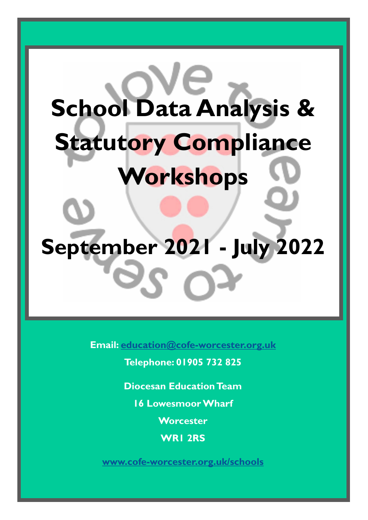# **School Data Analysis & Statutory Compliance Workshops September 2021 - July 2022**

**Email: [education@cofe-worcester.org.uk](mailto:education@cofe-worcester.org.uk)**

**Telephone: 01905 732 825**

**Diocesan Education Team**

**16 Lowesmoor Wharf**

**Worcester**

**WR1 2RS**

**[www.cofe-worcester.org.uk/schools](https://www.cofe-worcester.org.uk/schools/)**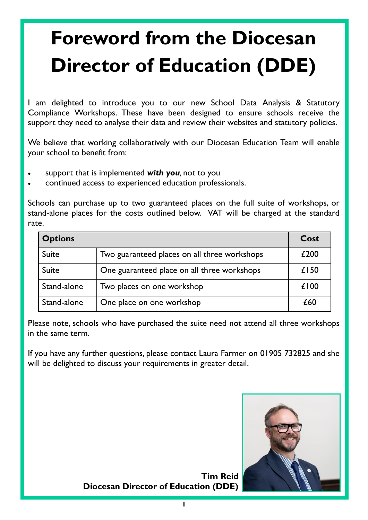## **Foreword from the Diocesan Director of Education (DDE)**

I am delighted to introduce you to our new School Data Analysis & Statutory Compliance Workshops. These have been designed to ensure schools receive the support they need to analyse their data and review their websites and statutory policies.

We believe that working collaboratively with our Diocesan Education Team will enable your school to benefit from:

- support that is implemented *with you,* not to you
- continued access to experienced education professionals.

Schools can purchase up to two guaranteed places on the full suite of workshops, or stand-alone places for the costs outlined below. VAT will be charged at the standard rate.

| <b>Options</b> |                                              | Cost |
|----------------|----------------------------------------------|------|
| Suite          | Two guaranteed places on all three workshops | £200 |
| <b>Suite</b>   | One guaranteed place on all three workshops  | £150 |
| Stand-alone    | Two places on one workshop                   | £100 |
| Stand-alone    | One place on one workshop                    | £60  |

Please note, schools who have purchased the suite need not attend all three workshops in the same term.

If you have any further questions, please contact Laura Farmer on 01905 732825 and she will be delighted to discuss your requirements in greater detail.



**Tim Reid Diocesan Director of Education (DDE)**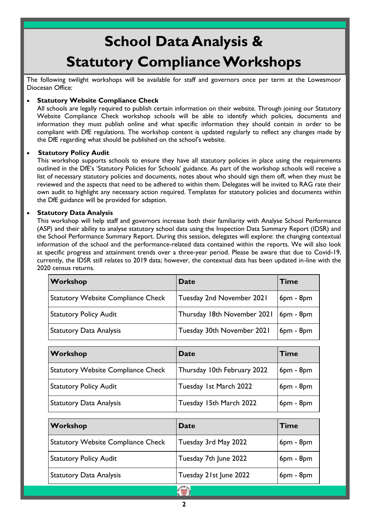### **School Data Analysis & Statutory Compliance Workshops**

The following twilight workshops will be available for staff and governors once per term at the Lowesmoor Diocesan Office:

#### **Statutory Website Compliance Check**

All schools are legally required to publish certain information on their website. Through joining our Statutory Website Compliance Check workshop schools will be able to identify which policies, documents and information they must publish online and what specific information they should contain in order to be compliant with DfE regulations. The workshop content is updated regularly to reflect any changes made by the DfE regarding what should be published on the school's website.

#### **Statutory Policy Audit**

This workshop supports schools to ensure they have all statutory policies in place using the requirements outlined in the DfE's 'Statutory Policies for Schools' guidance. As part of the workshop schools will receive a list of necessary statutory policies and documents, notes about who should sign them off, when they must be reviewed and the aspects that need to be adhered to within them. Delegates will be invited to RAG rate their own audit to highlight any necessary action required. Templates for statutory policies and documents within the DfE guidance will be provided for adaption.

#### **Statutory Data Analysis**

This workshop will help staff and governors increase both their familiarity with Analyse School Performance (ASP) and their ability to analyse statutory school data using the Inspection Data Summary Report (IDSR) and the School Performance Summary Report. During this session, delegates will explore: the changing contextual information of the school and the performance-related data contained within the reports. We will also look at specific progress and attainment trends over a three-year period. Please be aware that due to Covid-19, currently, the IDSR still relates to 2019 data; however, the contextual data has been updated in-line with the 2020 census returns.

| Workshop                                  | <b>Date</b>                             | <b>Time</b> |
|-------------------------------------------|-----------------------------------------|-------------|
| <b>Statutory Website Compliance Check</b> | Tuesday 2nd November 2021               | $6pm - 8pm$ |
| <b>Statutory Policy Audit</b>             | Thursday 18th November 2021   6pm - 8pm |             |
| <b>Statutory Data Analysis</b>            | Tuesday 30th November 2021              | $6pm - 8pm$ |

| Workshop                                  | Date                        | <b>Time</b> |
|-------------------------------------------|-----------------------------|-------------|
| <b>Statutory Website Compliance Check</b> | Thursday 10th February 2022 | $6pm - 8pm$ |
| <b>Statutory Policy Audit</b>             | Tuesday 1st March 2022      | $6pm - 8pm$ |
| <b>Statutory Data Analysis</b>            | Tuesday 15th March 2022     | $6pm - 8pm$ |

| Workshop                                  | Date                     | <b>Time</b> |
|-------------------------------------------|--------------------------|-------------|
| <b>Statutory Website Compliance Check</b> | Tuesday 3rd May 2022     | $6pm - 8pm$ |
| <b>Statutory Policy Audit</b>             | Tuesday 7th June 2022    | $6pm - 8pm$ |
| <b>Statutory Data Analysis</b>            | Tuesday 21st June 2022   | $6pm - 8pm$ |
|                                           | <b>NOVE</b> <sub>R</sub> |             |